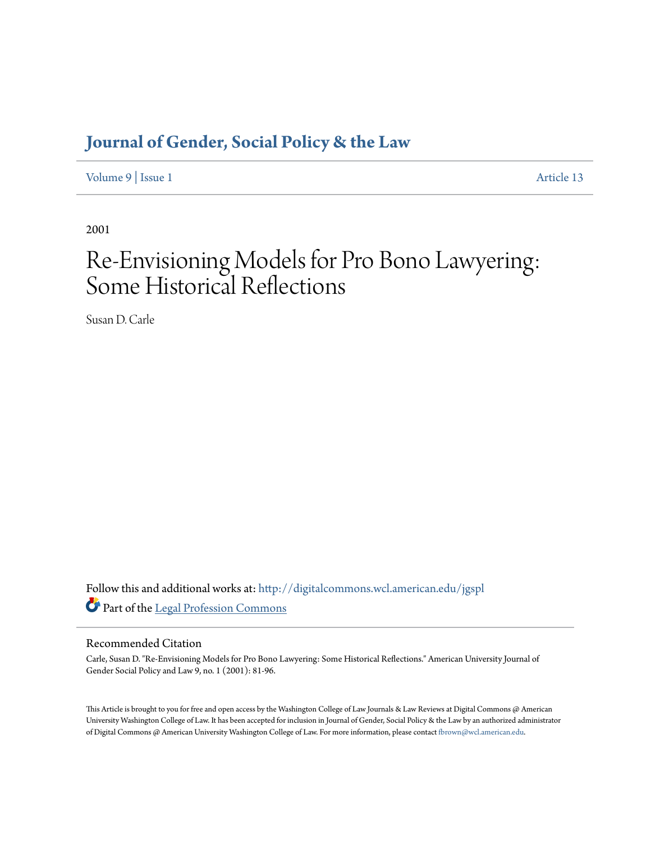# **[Journal of Gender, Social Policy & the Law](http://digitalcommons.wcl.american.edu/jgspl?utm_source=digitalcommons.wcl.american.edu%2Fjgspl%2Fvol9%2Fiss1%2F13&utm_medium=PDF&utm_campaign=PDFCoverPages)**

[Volume 9](http://digitalcommons.wcl.american.edu/jgspl/vol9?utm_source=digitalcommons.wcl.american.edu%2Fjgspl%2Fvol9%2Fiss1%2F13&utm_medium=PDF&utm_campaign=PDFCoverPages) | [Issue 1](http://digitalcommons.wcl.american.edu/jgspl/vol9/iss1?utm_source=digitalcommons.wcl.american.edu%2Fjgspl%2Fvol9%2Fiss1%2F13&utm_medium=PDF&utm_campaign=PDFCoverPages) [Article 13](http://digitalcommons.wcl.american.edu/jgspl/vol9/iss1/13?utm_source=digitalcommons.wcl.american.edu%2Fjgspl%2Fvol9%2Fiss1%2F13&utm_medium=PDF&utm_campaign=PDFCoverPages)

2001

# Re-Envisioning Models for Pro Bono Lawyering: Some Historical Reflections

Susan D. Carle

Follow this and additional works at: [http://digitalcommons.wcl.american.edu/jgspl](http://digitalcommons.wcl.american.edu/jgspl?utm_source=digitalcommons.wcl.american.edu%2Fjgspl%2Fvol9%2Fiss1%2F13&utm_medium=PDF&utm_campaign=PDFCoverPages) Part of the [Legal Profession Commons](http://network.bepress.com/hgg/discipline/1075?utm_source=digitalcommons.wcl.american.edu%2Fjgspl%2Fvol9%2Fiss1%2F13&utm_medium=PDF&utm_campaign=PDFCoverPages)

### Recommended Citation

Carle, Susan D. "Re-Envisioning Models for Pro Bono Lawyering: Some Historical Reflections." American University Journal of Gender Social Policy and Law 9, no. 1 (2001): 81-96.

This Article is brought to you for free and open access by the Washington College of Law Journals & Law Reviews at Digital Commons @ American University Washington College of Law. It has been accepted for inclusion in Journal of Gender, Social Policy & the Law by an authorized administrator of Digital Commons @ American University Washington College of Law. For more information, please contact [fbrown@wcl.american.edu.](mailto:fbrown@wcl.american.edu)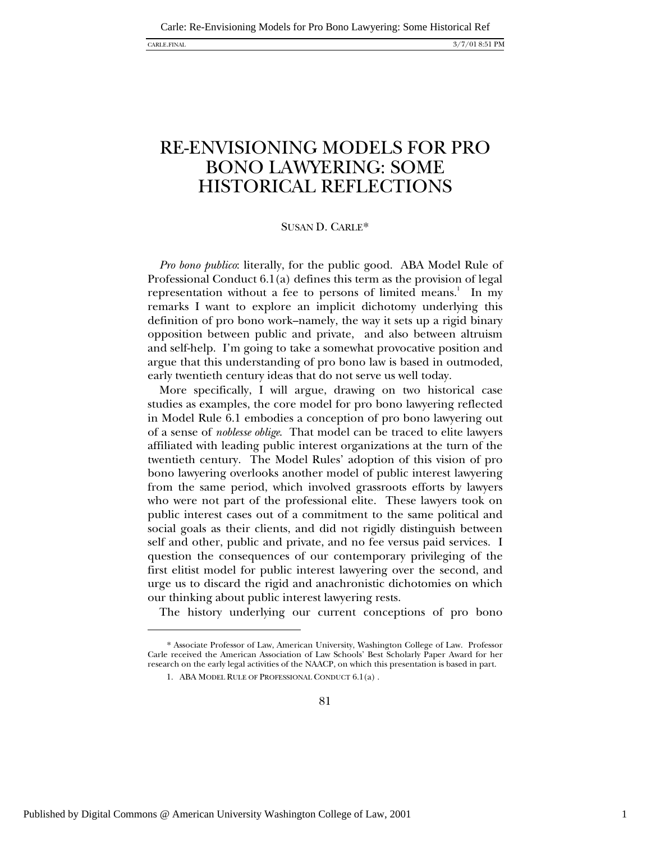# RE-ENVISIONING MODELS FOR PRO BONO LAWYERING: SOME HISTORICAL REFLECTIONS

#### SUSAN D. CARLE\*

*Pro bono publico*: literally, for the public good. ABA Model Rule of Professional Conduct 6.1(a) defines this term as the provision of legal representation without a fee to persons of limited means.<sup>1</sup> In my remarks I want to explore an implicit dichotomy underlying this definition of pro bono work--namely, the way it sets up a rigid binary opposition between public and private, and also between altruism and self-help. I'm going to take a somewhat provocative position and argue that this understanding of pro bono law is based in outmoded, early twentieth century ideas that do not serve us well today.

More specifically, I will argue, drawing on two historical case studies as examples, the core model for pro bono lawyering reflected in Model Rule 6.1 embodies a conception of pro bono lawyering out of a sense of *noblesse oblige*. That model can be traced to elite lawyers affiliated with leading public interest organizations at the turn of the twentieth century. The Model Rules' adoption of this vision of pro bono lawyering overlooks another model of public interest lawyering from the same period, which involved grassroots efforts by lawyers who were not part of the professional elite. These lawyers took on public interest cases out of a commitment to the same political and social goals as their clients, and did not rigidly distinguish between self and other, public and private, and no fee versus paid services. I question the consequences of our contemporary privileging of the first elitist model for public interest lawyering over the second, and urge us to discard the rigid and anachronistic dichotomies on which our thinking about public interest lawyering rests.

The history underlying our current conceptions of pro bono

1

<sup>\*</sup> Associate Professor of Law, American University, Washington College of Law. Professor Carle received the American Association of Law Schools' Best Scholarly Paper Award for her research on the early legal activities of the NAACP, on which this presentation is based in part.

<sup>1.</sup> ABA MODEL RULE OF PROFESSIONAL CONDUCT 6.1(a) .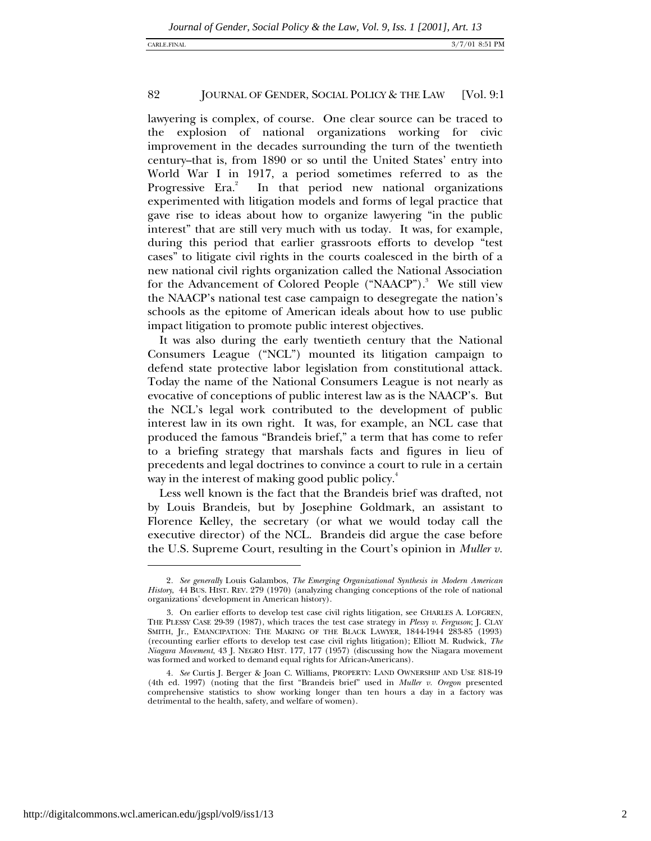lawyering is complex, of course. One clear source can be traced to the explosion of national organizations working for civic improvement in the decades surrounding the turn of the twentieth century--that is, from 1890 or so until the United States' entry into World War I in 1917, a period sometimes referred to as the Progressive Era.<sup>2</sup> In that period new national organizations experimented with litigation models and forms of legal practice that gave rise to ideas about how to organize lawyering "in the public interest" that are still very much with us today. It was, for example, during this period that earlier grassroots efforts to develop "test cases" to litigate civil rights in the courts coalesced in the birth of a new national civil rights organization called the National Association for the Advancement of Colored People ("NAACP").<sup>3</sup> We still view the NAACP's national test case campaign to desegregate the nation's schools as the epitome of American ideals about how to use public impact litigation to promote public interest objectives.

It was also during the early twentieth century that the National Consumers League ("NCL") mounted its litigation campaign to defend state protective labor legislation from constitutional attack. Today the name of the National Consumers League is not nearly as evocative of conceptions of public interest law as is the NAACP's. But the NCL's legal work contributed to the development of public interest law in its own right. It was, for example, an NCL case that produced the famous "Brandeis brief," a term that has come to refer to a briefing strategy that marshals facts and figures in lieu of precedents and legal doctrines to convince a court to rule in a certain way in the interest of making good public policy.<sup>4</sup>

Less well known is the fact that the Brandeis brief was drafted, not by Louis Brandeis, but by Josephine Goldmark, an assistant to Florence Kelley, the secretary (or what we would today call the executive director) of the NCL. Brandeis did argue the case before the U.S. Supreme Court, resulting in the Court's opinion in *Muller v.*

<sup>2</sup>*. See generally* Louis Galambos, *The Emerging Organizational Synthesis in Modern American History*, 44 BUS. HIST. REV. 279 (1970) (analyzing changing conceptions of the role of national organizations' development in American history).

<sup>3.</sup> On earlier efforts to develop test case civil rights litigation, see CHARLES A. LOFGREN, THE PLESSY CASE 29-39 (1987), which traces the test case strategy in *Plessy v. Ferguson*; J. CLAY SMITH, Jr., EMANCIPATION: THE MAKING OF THE BLACK LAWYER, 1844-1944 283-85 (1993) (recounting earlier efforts to develop test case civil rights litigation); Elliott M. Rudwick, *The Niagara Movement*, 43 J. NEGRO HIST. 177, 177 (1957) (discussing how the Niagara movement was formed and worked to demand equal rights for African-Americans).

<sup>4</sup>*. See* Curtis J. Berger & Joan C. Williams, PROPERTY: LAND OWNERSHIP AND USE 818-19 (4th ed. 1997) (noting that the first "Brandeis brief" used in *Muller v. Oregon* presented comprehensive statistics to show working longer than ten hours a day in a factory was detrimental to the health, safety, and welfare of women).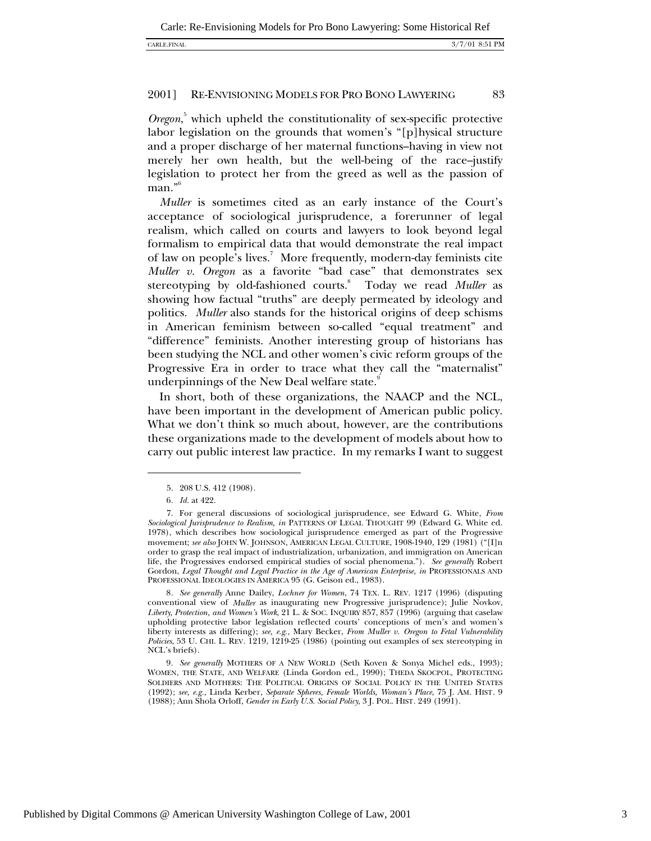*Oregon*, 5 which upheld the constitutionality of sex-specific protective labor legislation on the grounds that women's "[p]hysical structure and a proper discharge of her maternal functions-having in view not merely her own health, but the well-being of the race-justify legislation to protect her from the greed as well as the passion of man."<sup>6</sup>

*Muller* is sometimes cited as an early instance of the Court's acceptance of sociological jurisprudence, a forerunner of legal realism, which called on courts and lawyers to look beyond legal formalism to empirical data that would demonstrate the real impact of law on people's lives.<sup>7</sup> More frequently, modern-day feminists cite *Muller v. Oregon* as a favorite "bad case" that demonstrates sex stereotyping by old-fashioned courts.8 Today we read *Muller* as showing how factual "truths" are deeply permeated by ideology and politics. *Muller* also stands for the historical origins of deep schisms in American feminism between so-called "equal treatment" and "difference" feminists. Another interesting group of historians has been studying the NCL and other women's civic reform groups of the Progressive Era in order to trace what they call the "maternalist" underpinnings of the New Deal welfare state.<sup>9</sup>

In short, both of these organizations, the NAACP and the NCL, have been important in the development of American public policy. What we don't think so much about, however, are the contributions these organizations made to the development of models about how to carry out public interest law practice. In my remarks I want to suggest

 $\overline{a}$ 

8*. See generally* Anne Dailey, *Lochner for Women*, 74 TEX. L. REV. 1217 (1996) (disputing conventional view of *Muller* as inaugurating new Progressive jurisprudence); Julie Novkov, *Liberty, Protection, and Women's Work*, 21 L. & SOC. INQUIRY 857, 857 (1996) (arguing that caselaw upholding protective labor legislation reflected courts' conceptions of men's and women's liberty interests as differing); *see, e.g.,* Mary Becker, *From Muller v. Oregon to Fetal Vulnerability Policies*, 53 U. CHI. L. REV*.* 1219, 1219-25 (1986) (pointing out examples of sex stereotyping in NCL's briefs).

9*. See generally* MOTHERS OF A NEW WORLD (Seth Koven & Sonya Michel eds., 1993); WOMEN, THE STATE, AND WELFARE (Linda Gordon ed., 1990); THEDA SKOCPOL, PROTECTING SOLDIERS AND MOTHERS: THE POLITICAL ORIGINS OF SOCIAL POLICY IN THE UNITED STATES (1992); *see, e.g.,* Linda Kerber, *Separate Spheres, Female Worlds, Woman's Place*, 75 J. AM. HIST*.* 9 (1988); Ann Shola Orloff, *Gender in Early U.S. Social Policy*, 3 J. POL. HIST*.* 249 (1991).

<sup>5. 208</sup> U.S. 412 (1908).

<sup>6</sup>*. Id.* at 422.

<sup>7.</sup> For general discussions of sociological jurisprudence, see Edward G. White, *From Sociological Jurisprudence to Realism, in* PATTERNS OF LEGAL THOUGHT 99 (Edward G. White ed. 1978), which describes how sociological jurisprudence emerged as part of the Progressive movement; *see also* JOHN W. JOHNSON, AMERICAN LEGAL CULTURE, 1908-1940, 129 (1981) ("[I]n order to grasp the real impact of industrialization, urbanization, and immigration on American life, the Progressives endorsed empirical studies of social phenomena."). *See generally* Robert Gordon, *Legal Thought and Legal Practice in the Age of American Enterprise, in* PROFESSIONALS AND PROFESSIONAL IDEOLOGIES IN AMERICA 95 (G. Geison ed., 1983).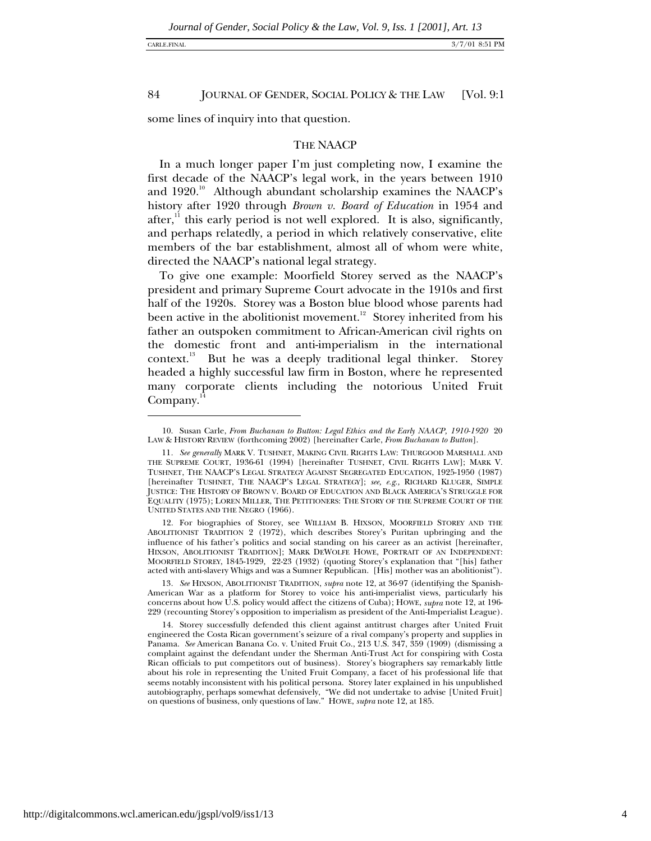some lines of inquiry into that question.

#### THE NAACP

In a much longer paper I'm just completing now, I examine the first decade of the NAACP's legal work, in the years between 1910 and  $1920.^{10}$  Although abundant scholarship examines the NAACP's history after 1920 through *Brown v. Board of Education* in 1954 and after, $\frac{11}{11}$  this early period is not well explored. It is also, significantly, and perhaps relatedly, a period in which relatively conservative, elite members of the bar establishment, almost all of whom were white, directed the NAACP's national legal strategy.

To give one example: Moorfield Storey served as the NAACP's president and primary Supreme Court advocate in the 1910s and first half of the 1920s. Storey was a Boston blue blood whose parents had been active in the abolitionist movement.<sup>12</sup> Storey inherited from his father an outspoken commitment to African-American civil rights on the domestic front and anti-imperialism in the international context.<sup>13</sup> But he was a deeply traditional legal thinker. Storey headed a highly successful law firm in Boston, where he represented many corporate clients including the notorious United Fruit  $Company.<sup>14</sup>$ 

12. For biographies of Storey, see WILLIAM B. HIXSON, MOORFIELD STOREY AND THE ABOLITIONIST TRADITION 2 (1972), which describes Storey's Puritan upbringing and the influence of his father's politics and social standing on his career as an activist [hereinafter, HIXSON, ABOLITIONIST TRADITION]; MARK DEWOLFE HOWE, PORTRAIT OF AN INDEPENDENT: MOORFIELD STOREY, 1845-1929*,* 22-23 (1932) (quoting Storey's explanation that "[his] father acted with anti-slavery Whigs and was a Sumner Republican. [His] mother was an abolitionist").

13*. See* HIXSON, ABOLITIONIST TRADITION, *supra* note 12, at 36-97 (identifying the Spanish-American War as a platform for Storey to voice his anti-imperialist views, particularly his concerns about how U.S. policy would affect the citizens of Cuba); HOWE, *supra* note 12, at 196- 229 (recounting Storey's opposition to imperialism as president of the Anti-Imperialist League).

14. Storey successfully defended this client against antitrust charges after United Fruit engineered the Costa Rican government's seizure of a rival company's property and supplies in Panama. *See* American Banana Co. v. United Fruit Co., 213 U.S. 347, 359 (1909) (dismissing a complaint against the defendant under the Sherman Anti-Trust Act for conspiring with Costa Rican officials to put competitors out of business). Storey's biographers say remarkably little about his role in representing the United Fruit Company, a facet of his professional life that seems notably inconsistent with his political persona. Storey later explained in his unpublished autobiography, perhaps somewhat defensively, "We did not undertake to advise [United Fruit] on questions of business, only questions of law." HOWE, *supra* note 12, at 185.

<sup>10.</sup> Susan Carle, *From Buchanan to Button: Legal Ethics and the Early NAACP, 1910-1920* 20 LAW & HISTORY REVIEW (forthcoming 2002) [hereinafter Carle, *From Buchanan to Button*].

<sup>11</sup>*. See generally* MARK V. TUSHNET, MAKING CIVIL RIGHTS LAW: THURGOOD MARSHALL AND THE SUPREME COURT, 1936-61 (1994) [hereinafter TUSHNET, CIVIL RIGHTS LAW]; MARK V. TUSHNET, THE NAACP'S LEGAL STRATEGY AGAINST SEGREGATED EDUCATION, 1925-1950 (1987) [hereinafter TUSHNET, THE NAACP'S LEGAL STRATEGY]; *see, e.g.,* RICHARD KLUGER, SIMPLE JUSTICE: THE HISTORY OF BROWN V. BOARD OF EDUCATION AND BLACK AMERICA'S STRUGGLE FOR EQUALITY (1975); LOREN MILLER, THE PETITIONERS: THE STORY OF THE SUPREME COURT OF THE UNITED STATES AND THE NEGRO (1966).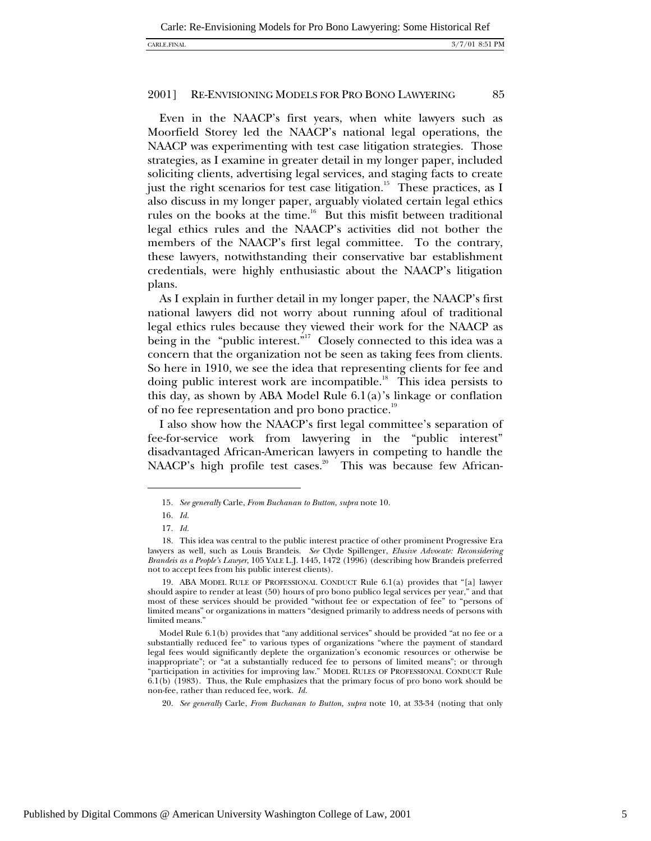#### CARLE.FINAL 3/7/01 8:51 PM

#### 2001] RE-ENVISIONING MODELS FOR PRO BONO LAWYERING 85

Even in the NAACP's first years, when white lawyers such as Moorfield Storey led the NAACP's national legal operations, the NAACP was experimenting with test case litigation strategies. Those strategies, as I examine in greater detail in my longer paper, included soliciting clients, advertising legal services, and staging facts to create just the right scenarios for test case litigation.<sup>15</sup> These practices, as I also discuss in my longer paper, arguably violated certain legal ethics rules on the books at the time.<sup>16</sup> But this misfit between traditional legal ethics rules and the NAACP's activities did not bother the members of the NAACP's first legal committee. To the contrary, these lawyers, notwithstanding their conservative bar establishment credentials, were highly enthusiastic about the NAACP's litigation plans.

As I explain in further detail in my longer paper, the NAACP's first national lawyers did not worry about running afoul of traditional legal ethics rules because they viewed their work for the NAACP as being in the "public interest."<sup>17</sup> Closely connected to this idea was a concern that the organization not be seen as taking fees from clients. So here in 1910, we see the idea that representing clients for fee and doing public interest work are incompatible.<sup>18</sup> This idea persists to this day, as shown by ABA Model Rule 6.1(a)'s linkage or conflation of no fee representation and pro bono practice.<sup>19</sup>

I also show how the NAACP's first legal committee's separation of fee-for-service work from lawyering in the "public interest" disadvantaged African-American lawyers in competing to handle the NAACP's high profile test cases.<sup>20</sup> This was because few African-

-

<sup>15</sup>*. See generally* Carle, *From Buchanan to Button*, *supra* note 10.

<sup>16</sup>*. Id.*

<sup>17</sup>*. Id.*

<sup>18.</sup> This idea was central to the public interest practice of other prominent Progressive Era lawyers as well, such as Louis Brandeis. *See* Clyde Spillenger, *Elusive Advocate: Reconsidering Brandeis as a People's Lawyer*, 105 YALE L.J. 1445, 1472 (1996) (describing how Brandeis preferred not to accept fees from his public interest clients).

<sup>19.</sup> ABA MODEL RULE OF PROFESSIONAL CONDUCT Rule 6.1(a) provides that "[a] lawyer should aspire to render at least (50) hours of pro bono publico legal services per year," and that most of these services should be provided "without fee or expectation of fee" to "persons of limited means" or organizations in matters "designed primarily to address needs of persons with limited means.'

Model Rule 6.1(b) provides that "any additional services" should be provided "at no fee or a substantially reduced fee" to various types of organizations "where the payment of standard legal fees would significantly deplete the organization's economic resources or otherwise be inappropriate"; or "at a substantially reduced fee to persons of limited means"; or through "participation in activities for improving law." MODEL RULES OF PROFESSIONAL CONDUCT Rule 6.1(b) (1983). Thus, the Rule emphasizes that the primary focus of pro bono work should be non-fee, rather than reduced fee, work. *Id.*

<sup>20.</sup> *See generally* Carle, *From Buchanan to Button, supra* note 10, at 33-34 (noting that only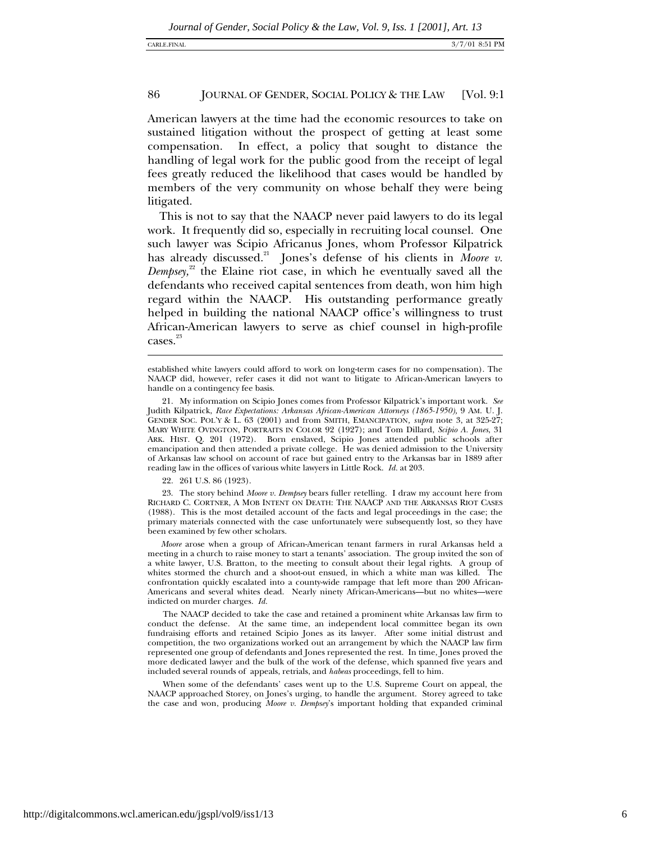l

#### 86 JOURNAL OF GENDER, SOCIAL POLICY & THE LAW [Vol. 9:1

American lawyers at the time had the economic resources to take on sustained litigation without the prospect of getting at least some compensation. In effect, a policy that sought to distance the handling of legal work for the public good from the receipt of legal fees greatly reduced the likelihood that cases would be handled by members of the very community on whose behalf they were being litigated.

This is not to say that the NAACP never paid lawyers to do its legal work. It frequently did so, especially in recruiting local counsel. One such lawyer was Scipio Africanus Jones, whom Professor Kilpatrick has already discussed.<sup>21</sup> Jones's defense of his clients in *Moore v*. *Dempsey,*<sup>22</sup> the Elaine riot case, in which he eventually saved all the defendants who received capital sentences from death, won him high regard within the NAACP. His outstanding performance greatly helped in building the national NAACP office's willingness to trust African-American lawyers to serve as chief counsel in high-profile cases.<sup>23</sup>

22. 261 U.S. 86 (1923).

23. The story behind *Moore v. Dempsey* bears fuller retelling. I draw my account here from RICHARD C. CORTNER, A MOB INTENT ON DEATH: THE NAACP AND THE ARKANSAS RIOT CASES (1988). This is the most detailed account of the facts and legal proceedings in the case; the primary materials connected with the case unfortunately were subsequently lost, so they have been examined by few other scholars.

 *Moore* arose when a group of African-American tenant farmers in rural Arkansas held a meeting in a church to raise money to start a tenants' association. The group invited the son of a white lawyer, U.S. Bratton, to the meeting to consult about their legal rights. A group of whites stormed the church and a shoot-out ensued, in which a white man was killed. The confrontation quickly escalated into a county-wide rampage that left more than 200 African-Americans and several whites dead. Nearly ninety African-Americans—but no whites—were indicted on murder charges. *Id.*

 The NAACP decided to take the case and retained a prominent white Arkansas law firm to conduct the defense. At the same time, an independent local committee began its own fundraising efforts and retained Scipio Jones as its lawyer. After some initial distrust and competition, the two organizations worked out an arrangement by which the NAACP law firm represented one group of defendants and Jones represented the rest. In time, Jones proved the more dedicated lawyer and the bulk of the work of the defense, which spanned five years and included several rounds of appeals, retrials, and *habeas* proceedings, fell to him.

 When some of the defendants' cases went up to the U.S. Supreme Court on appeal, the NAACP approached Storey, on Jones's urging, to handle the argument. Storey agreed to take the case and won, producing *Moore v. Dempsey*'s important holding that expanded criminal

established white lawyers could afford to work on long-term cases for no compensation). The NAACP did, however, refer cases it did not want to litigate to African-American lawyers to handle on a contingency fee basis.

<sup>21.</sup> My information on Scipio Jones comes from Professor Kilpatrick's important work. *See* Judith Kilpatrick, *Race Expectations: Arkansas African-American Attorneys (1865-1950),* 9 AM. U. J. GENDER SOC. POL'Y & L. 63 (2001) and from SMITH, EMANCIPATION*, supra* note 3, at 325-27; MARY WHITE OVINGTON, PORTRAITS IN COLOR 92 (1927); and Tom Dillard, *Scipio A. Jones*, 31 ARK. HIST. Q. 201 (1972). Born enslaved, Scipio Jones attended public schools after emancipation and then attended a private college. He was denied admission to the University of Arkansas law school on account of race but gained entry to the Arkansas bar in 1889 after reading law in the offices of various white lawyers in Little Rock. *Id.* at 203*.*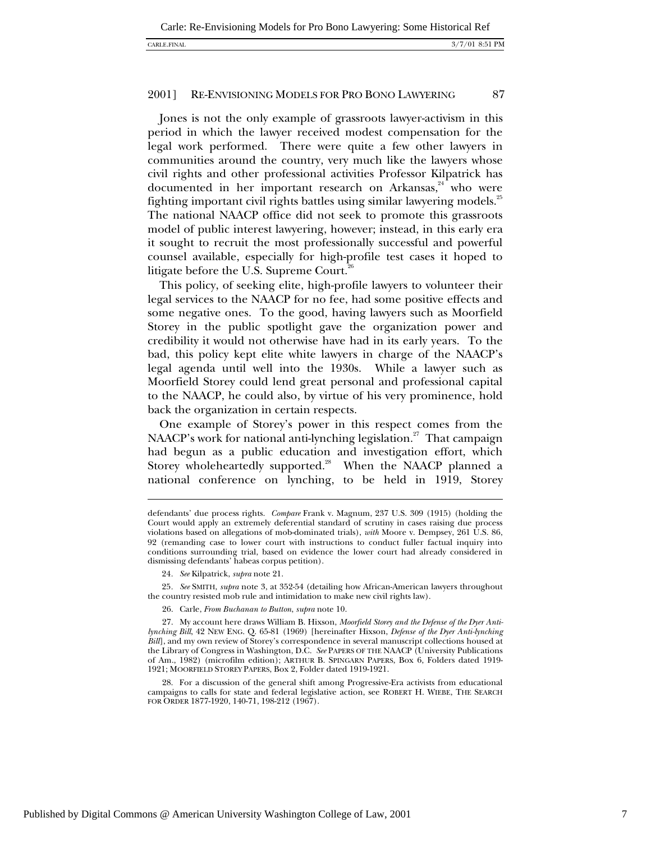Jones is not the only example of grassroots lawyer-activism in this period in which the lawyer received modest compensation for the legal work performed. There were quite a few other lawyers in communities around the country, very much like the lawyers whose civil rights and other professional activities Professor Kilpatrick has documented in her important research on Arkansas, $44$  who were fighting important civil rights battles using similar lawyering models.<sup>25</sup> The national NAACP office did not seek to promote this grassroots model of public interest lawyering, however; instead, in this early era it sought to recruit the most professionally successful and powerful counsel available, especially for high-profile test cases it hoped to litigate before the U.S. Supreme Court.<sup>26</sup>

This policy, of seeking elite, high-profile lawyers to volunteer their legal services to the NAACP for no fee, had some positive effects and some negative ones. To the good, having lawyers such as Moorfield Storey in the public spotlight gave the organization power and credibility it would not otherwise have had in its early years. To the bad, this policy kept elite white lawyers in charge of the NAACP's legal agenda until well into the 1930s. While a lawyer such as Moorfield Storey could lend great personal and professional capital to the NAACP, he could also, by virtue of his very prominence, hold back the organization in certain respects.

One example of Storey's power in this respect comes from the NAACP's work for national anti-lynching legislation.<sup>27</sup> That campaign had begun as a public education and investigation effort, which Storey wholeheartedly supported.<sup>28</sup> When the NAACP planned a national conference on lynching, to be held in 1919, Storey

l

25*. See* SMITH, *supra* note 3, at 352-54 (detailing how African-American lawyers throughout the country resisted mob rule and intimidation to make new civil rights law).

28. For a discussion of the general shift among Progressive-Era activists from educational campaigns to calls for state and federal legislative action, see ROBERT H. WIEBE, THE SEARCH FOR ORDER 1877-1920, 140-71, 198-212 (1967).

defendants' due process rights. *Compare* Frank v. Magnum, 237 U.S. 309 (1915) (holding the Court would apply an extremely deferential standard of scrutiny in cases raising due process violations based on allegations of mob-dominated trials), *with* Moore v. Dempsey, 261 U.S. 86, 92 (remanding case to lower court with instructions to conduct fuller factual inquiry into conditions surrounding trial, based on evidence the lower court had already considered in dismissing defendants' habeas corpus petition).

<sup>24</sup>*. See* Kilpatrick, *supra* note 21.

<sup>26.</sup> Carle, *From Buchanan to Button*, *supra* note 10.

<sup>27.</sup> My account here draws William B. Hixson, *Moorfield Storey and the Defense of the Dyer Antilynching Bill*, 42 NEW ENG. Q. 65-81 (1969) [hereinafter Hixson, *Defense of the Dyer Anti-lynching Bill*], and my own review of Storey's correspondence in several manuscript collections housed at the Library of Congress in Washington, D.C. *See* PAPERS OF THE NAACP (University Publications of Am., 1982) (microfilm edition); ARTHUR B. SPINGARN PAPERS, Box 6, Folders dated 1919- 1921; MOORFIELD STOREY PAPERS, Box 2, Folder dated 1919-1921.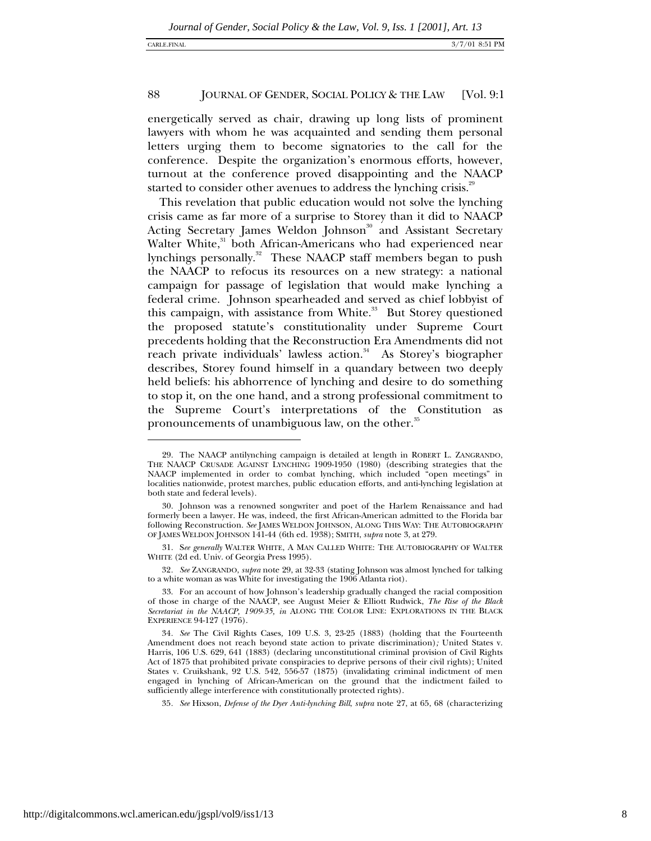energetically served as chair, drawing up long lists of prominent lawyers with whom he was acquainted and sending them personal letters urging them to become signatories to the call for the conference. Despite the organization's enormous efforts, however, turnout at the conference proved disappointing and the NAACP started to consider other avenues to address the lynching crisis.<sup>29</sup>

This revelation that public education would not solve the lynching crisis came as far more of a surprise to Storey than it did to NAACP Acting Secretary James Weldon Johnson<sup>30</sup> and Assistant Secretary Walter White,<sup>31</sup> both African-Americans who had experienced near lynchings personally.<sup>32</sup> These NAACP staff members began to push the NAACP to refocus its resources on a new strategy: a national campaign for passage of legislation that would make lynching a federal crime. Johnson spearheaded and served as chief lobbyist of this campaign, with assistance from White.<sup>33</sup> But Storey questioned the proposed statute's constitutionality under Supreme Court precedents holding that the Reconstruction Era Amendments did not reach private individuals' lawless action.<sup>34</sup> As Storey's biographer describes, Storey found himself in a quandary between two deeply held beliefs: his abhorrence of lynching and desire to do something to stop it, on the one hand, and a strong professional commitment to the Supreme Court's interpretations of the Constitution as pronouncements of unambiguous law, on the other.<sup>35</sup>

32*. See* ZANGRANDO, *supra* note 29, at 32-33 (stating Johnson was almost lynched for talking to a white woman as was White for investigating the 1906 Atlanta riot).

-

<sup>29.</sup> The NAACP antilynching campaign is detailed at length in ROBERT L. ZANGRANDO, THE NAACP CRUSADE AGAINST LYNCHING 1909-1950 (1980) (describing strategies that the NAACP implemented in order to combat lynching, which included "open meetings" in localities nationwide, protest marches, public education efforts, and anti-lynching legislation at both state and federal levels).

<sup>30.</sup> Johnson was a renowned songwriter and poet of the Harlem Renaissance and had formerly been a lawyer. He was, indeed, the first African-American admitted to the Florida bar following Reconstruction. *See* JAMES WELDON JOHNSON, ALONG THIS WAY: THE AUTOBIOGRAPHY OF JAMES WELDON JOHNSON 141-44 (6th ed. 1938); SMITH, *supra* note 3, at 279.

<sup>31.</sup> S*ee generally* WALTER WHITE, A MAN CALLED WHITE: THE AUTOBIOGRAPHY OF WALTER WHITE (2d ed. Univ. of Georgia Press 1995).

<sup>33.</sup> For an account of how Johnson's leadership gradually changed the racial composition of those in charge of the NAACP, see August Meier & Elliott Rudwick, *The Rise of the Black Secretariat in the NAACP, 1909-35, in* ALONG THE COLOR LINE: EXPLORATIONS IN THE BLACK EXPERIENCE 94-127 (1976).

<sup>34</sup>*. See* The Civil Rights Cases*,* 109 U.S. 3, 23-25 (1883) (holding that the Fourteenth Amendment does not reach beyond state action to private discrimination)*;* United States v. Harris, 106 U.S. 629, 641 (1883) (declaring unconstitutional criminal provision of Civil Rights Act of 1875 that prohibited private conspiracies to deprive persons of their civil rights); United States v. Cruikshank, 92 U.S. 542, 556-57 (1875) (invalidating criminal indictment of men engaged in lynching of African-American on the ground that the indictment failed to sufficiently allege interference with constitutionally protected rights).

<sup>35</sup>*. See* Hixson, *Defense of the Dyer Anti-lynching Bill*, *supra* note 27, at 65, 68 (characterizing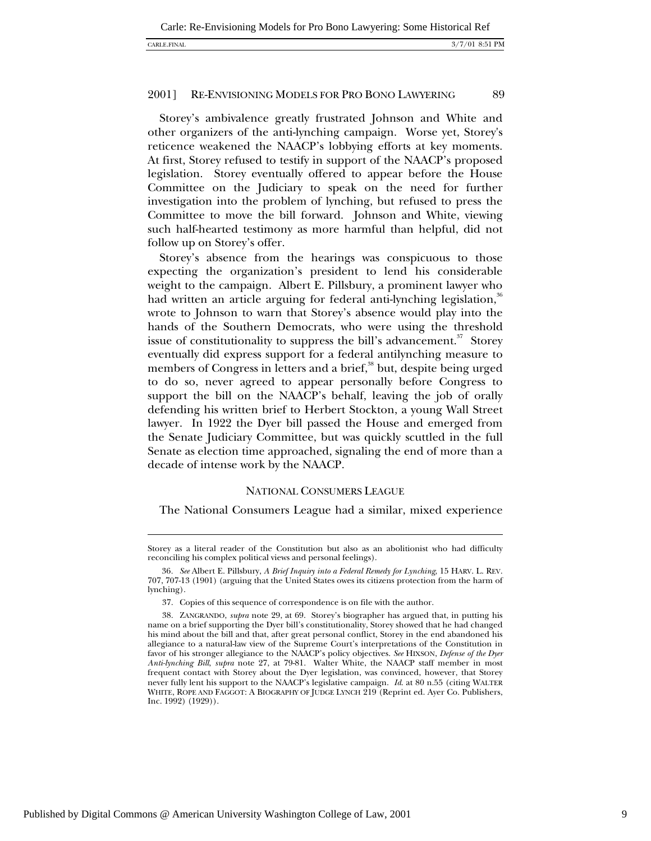Storey's ambivalence greatly frustrated Johnson and White and other organizers of the anti-lynching campaign. Worse yet, Storey's reticence weakened the NAACP's lobbying efforts at key moments. At first, Storey refused to testify in support of the NAACP's proposed legislation. Storey eventually offered to appear before the House Committee on the Judiciary to speak on the need for further investigation into the problem of lynching, but refused to press the Committee to move the bill forward. Johnson and White, viewing such half-hearted testimony as more harmful than helpful, did not follow up on Storey's offer.

Storey's absence from the hearings was conspicuous to those expecting the organization's president to lend his considerable weight to the campaign. Albert E. Pillsbury, a prominent lawyer who had written an article arguing for federal anti-lynching legislation,<sup>36</sup> wrote to Johnson to warn that Storey's absence would play into the hands of the Southern Democrats, who were using the threshold issue of constitutionality to suppress the bill's advancement. $37$  Storey eventually did express support for a federal antilynching measure to members of Congress in letters and a brief,<sup>38</sup> but, despite being urged to do so, never agreed to appear personally before Congress to support the bill on the NAACP's behalf, leaving the job of orally defending his written brief to Herbert Stockton, a young Wall Street lawyer. In 1922 the Dyer bill passed the House and emerged from the Senate Judiciary Committee, but was quickly scuttled in the full Senate as election time approached, signaling the end of more than a decade of intense work by the NAACP.

### NATIONAL CONSUMERS LEAGUE

The National Consumers League had a similar, mixed experience

l

Storey as a literal reader of the Constitution but also as an abolitionist who had difficulty reconciling his complex political views and personal feelings).

<sup>36</sup>*. See* Albert E. Pillsbury, *A Brief Inquiry into a Federal Remedy for Lynching*, 15 HARV. L. REV. 707, 707-13 (1901) (arguing that the United States owes its citizens protection from the harm of lynching).

<sup>37.</sup> Copies of this sequence of correspondence is on file with the author.

<sup>38.</sup> ZANGRANDO, *supra* note 29, at 69. Storey's biographer has argued that, in putting his name on a brief supporting the Dyer bill's constitutionality, Storey showed that he had changed his mind about the bill and that, after great personal conflict, Storey in the end abandoned his allegiance to a natural-law view of the Supreme Court's interpretations of the Constitution in favor of his stronger allegiance to the NAACP's policy objectives. *See* HIXSON, *Defense of the Dyer Anti-lynching Bill*, *supra* note 27, at 79-81. Walter White, the NAACP staff member in most frequent contact with Storey about the Dyer legislation, was convinced, however, that Storey never fully lent his support to the NAACP's legislative campaign. *Id*. at 80 n.55 (citing WALTER WHITE, ROPE AND FAGGOT: A BIOGRAPHY OF JUDGE LYNCH 219 (Reprint ed. Ayer Co. Publishers, Inc. 1992) (1929)).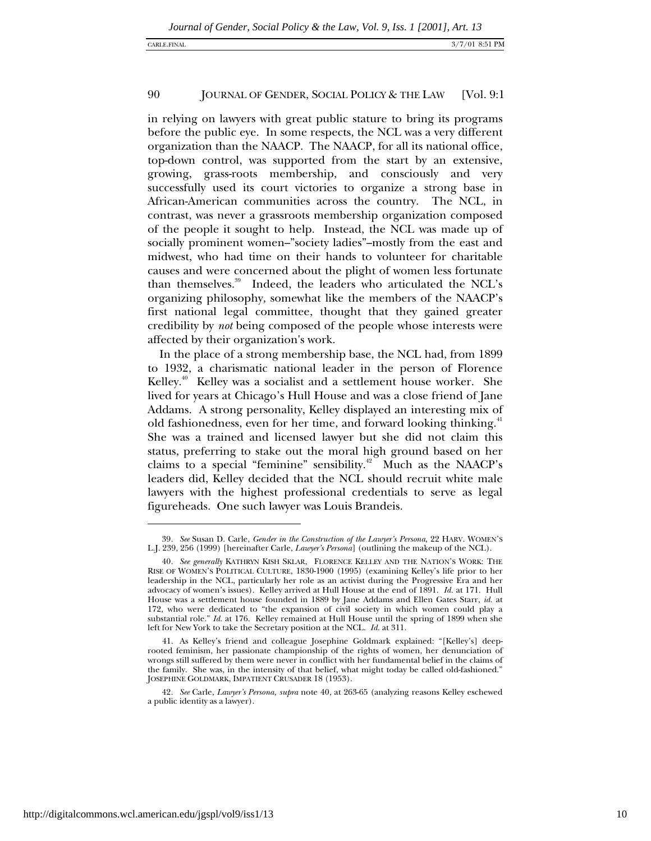in relying on lawyers with great public stature to bring its programs before the public eye. In some respects, the NCL was a very different organization than the NAACP. The NAACP, for all its national office, top-down control, was supported from the start by an extensive, growing, grass-roots membership, and consciously and very successfully used its court victories to organize a strong base in African-American communities across the country. The NCL, in contrast, was never a grassroots membership organization composed of the people it sought to help. Instead, the NCL was made up of socially prominent women–"society ladies"–mostly from the east and midwest, who had time on their hands to volunteer for charitable causes and were concerned about the plight of women less fortunate than themselves.<sup>39</sup> Indeed, the leaders who articulated the NCL's organizing philosophy, somewhat like the members of the NAACP's first national legal committee, thought that they gained greater credibility by *not* being composed of the people whose interests were affected by their organization's work.

In the place of a strong membership base, the NCL had, from 1899 to 1932, a charismatic national leader in the person of Florence Kelley.<sup>40</sup> Kelley was a socialist and a settlement house worker. She lived for years at Chicago's Hull House and was a close friend of Jane Addams. A strong personality, Kelley displayed an interesting mix of old fashionedness, even for her time, and forward looking thinking.<sup>41</sup> She was a trained and licensed lawyer but she did not claim this status, preferring to stake out the moral high ground based on her claims to a special "feminine" sensibility.<sup>42</sup> Much as the NAACP's leaders did, Kelley decided that the NCL should recruit white male lawyers with the highest professional credentials to serve as legal figureheads. One such lawyer was Louis Brandeis.

<sup>39</sup>*. See* Susan D. Carle, *Gender in the Construction of the Lawyer's Persona*, 22 HARV. WOMEN'S L.J. 239, 256 (1999) [hereinafter Carle, *Lawyer's Persona*] (outlining the makeup of the NCL).

<sup>40</sup>*. See generally* KATHRYN KISH SKLAR, FLORENCE KELLEY AND THE NATION'S WORK: THE RISE OF WOMEN'S POLITICAL CULTURE, 1830-1900 (1995) (examining Kelley's life prior to her leadership in the NCL, particularly her role as an activist during the Progressive Era and her advocacy of women's issues). Kelley arrived at Hull House at the end of 1891. *Id.* at 171. Hull House was a settlement house founded in 1889 by Jane Addams and Ellen Gates Starr, *id.* at 172, who were dedicated to "the expansion of civil society in which women could play a substantial role." *Id.* at 176. Kelley remained at Hull House until the spring of 1899 when she left for New York to take the Secretary position at the NCL. *Id.* at 311.

<sup>41.</sup> As Kelley's friend and colleague Josephine Goldmark explained: "[Kelley's] deeprooted feminism, her passionate championship of the rights of women, her denunciation of wrongs still suffered by them were never in conflict with her fundamental belief in the claims of the family. She was, in the intensity of that belief, what might today be called old-fashioned." JOSEPHINE GOLDMARK, IMPATIENT CRUSADER 18 (1953).

<sup>42</sup>*. See* Carle, *Lawyer's Persona, supra* note 40, at 263-65 (analyzing reasons Kelley eschewed a public identity as a lawyer).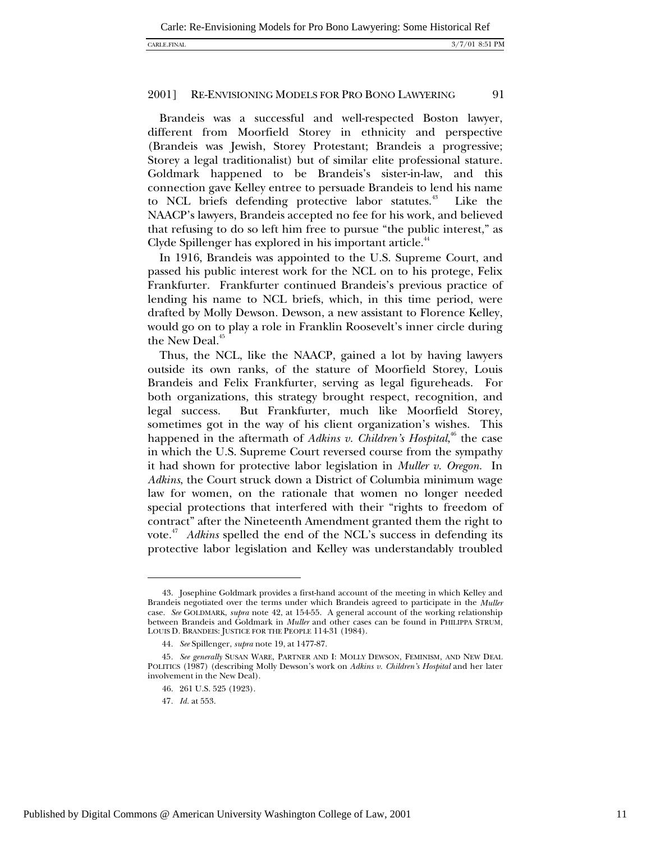Brandeis was a successful and well-respected Boston lawyer, different from Moorfield Storey in ethnicity and perspective (Brandeis was Jewish, Storey Protestant; Brandeis a progressive; Storey a legal traditionalist) but of similar elite professional stature. Goldmark happened to be Brandeis's sister-in-law, and this connection gave Kelley entree to persuade Brandeis to lend his name to NCL briefs defending protective labor statutes.<sup>43</sup> Like the NAACP's lawyers, Brandeis accepted no fee for his work, and believed that refusing to do so left him free to pursue "the public interest," as Clyde Spillenger has explored in his important article.<sup>44</sup>

In 1916, Brandeis was appointed to the U.S. Supreme Court, and passed his public interest work for the NCL on to his protege, Felix Frankfurter. Frankfurter continued Brandeis's previous practice of lending his name to NCL briefs, which, in this time period, were drafted by Molly Dewson. Dewson, a new assistant to Florence Kelley, would go on to play a role in Franklin Roosevelt's inner circle during the New Deal.<sup>45</sup>

Thus, the NCL, like the NAACP, gained a lot by having lawyers outside its own ranks, of the stature of Moorfield Storey, Louis Brandeis and Felix Frankfurter, serving as legal figureheads. For both organizations, this strategy brought respect, recognition, and legal success. But Frankfurter, much like Moorfield Storey, sometimes got in the way of his client organization's wishes. This happened in the aftermath of *Adkins v. Children's Hospital*,<sup>46</sup> the case in which the U.S. Supreme Court reversed course from the sympathy it had shown for protective labor legislation in *Muller v. Oregon.* In *Adkins*, the Court struck down a District of Columbia minimum wage law for women, on the rationale that women no longer needed special protections that interfered with their "rights to freedom of contract" after the Nineteenth Amendment granted them the right to vote.47 *Adkins* spelled the end of the NCL's success in defending its protective labor legislation and Kelley was understandably troubled

47*. Id.* at 553.

<sup>43.</sup> Josephine Goldmark provides a first-hand account of the meeting in which Kelley and Brandeis negotiated over the terms under which Brandeis agreed to participate in the *Muller* case. *See* GOLDMARK, *supra* note 42, at 154-55. A general account of the working relationship between Brandeis and Goldmark in *Muller* and other cases can be found in PHILIPPA STRUM, LOUIS D. BRANDEIS: JUSTICE FOR THE PEOPLE 114-31 (1984).

<sup>44</sup>*. See* Spillenger, *supra* note 19, at 1477-87.

<sup>45</sup>*. See generally* SUSAN WARE, PARTNER AND I: MOLLY DEWSON, FEMINISM, AND NEW DEAL POLITICS (1987) (describing Molly Dewson's work on *Adkins v. Children's Hospital* and her later involvement in the New Deal).

<sup>46. 261</sup> U.S. 525 (1923).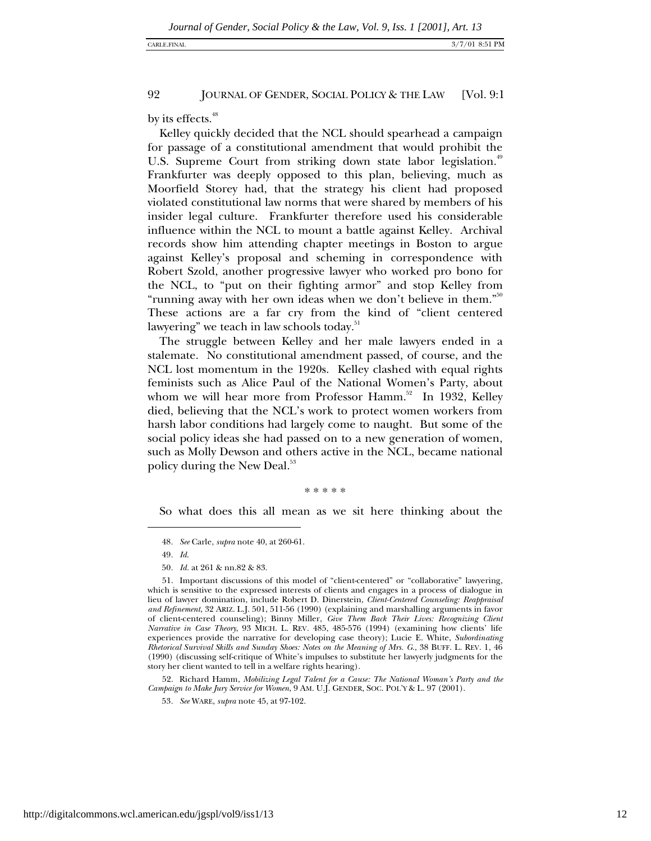by its effects.<sup>48</sup>

Kelley quickly decided that the NCL should spearhead a campaign for passage of a constitutional amendment that would prohibit the U.S. Supreme Court from striking down state labor legislation.<sup>49</sup> Frankfurter was deeply opposed to this plan, believing, much as Moorfield Storey had, that the strategy his client had proposed violated constitutional law norms that were shared by members of his insider legal culture. Frankfurter therefore used his considerable influence within the NCL to mount a battle against Kelley. Archival records show him attending chapter meetings in Boston to argue against Kelley's proposal and scheming in correspondence with Robert Szold, another progressive lawyer who worked pro bono for the NCL, to "put on their fighting armor" and stop Kelley from "running away with her own ideas when we don't believe in them."<sup>50</sup> These actions are a far cry from the kind of "client centered lawyering" we teach in law schools today.<sup>51</sup>

The struggle between Kelley and her male lawyers ended in a stalemate. No constitutional amendment passed, of course, and the NCL lost momentum in the 1920s. Kelley clashed with equal rights feminists such as Alice Paul of the National Women's Party, about whom we will hear more from Professor Hamm.<sup>52</sup> In 1932, Kelley died, believing that the NCL's work to protect women workers from harsh labor conditions had largely come to naught. But some of the social policy ideas she had passed on to a new generation of women, such as Molly Dewson and others active in the NCL, became national policy during the New Deal.<sup>53</sup>

\* \* \* \* \*

So what does this all mean as we sit here thinking about the

 $\overline{a}$ 

52. Richard Hamm, *Mobilizing Legal Talent for a Cause: The National Woman's Party and the Campaign to Make Jury Service for Women*, 9 AM. U.J. GENDER, SOC. POL'Y & L. 97 (2001).

<sup>48</sup>*. See* Carle, *supra* note 40, at 260-61.

<sup>49</sup>*. Id*.

<sup>50</sup>*. Id.* at 261 & nn.82 & 83.

<sup>51.</sup> Important discussions of this model of "client-centered" or "collaborative" lawyering, which is sensitive to the expressed interests of clients and engages in a process of dialogue in lieu of lawyer domination, include Robert D. Dinerstein, *Client-Centered Counseling: Reappraisal and Refinement*, 32 ARIZ. L.J. 501, 511-56 (1990) (explaining and marshalling arguments in favor of client-centered counseling); Binny Miller, *Give Them Back Their Lives: Recognizing Client Narrative in Case Theory*, 93 MICH. L. REV*.* 485, 485-576 (1994) (examining how clients' life experiences provide the narrative for developing case theory); Lucie E. White, *Subordinating Rhetorical Survival Skills and Sunday Shoes: Notes on the Meaning of Mrs. G.*, 38 BUFF. L. REV. 1, 46 (1990) (discussing self-critique of White's impulses to substitute her lawyerly judgments for the story her client wanted to tell in a welfare rights hearing).

<sup>53</sup>*. See* WARE, *supra* note 45, at 97-102.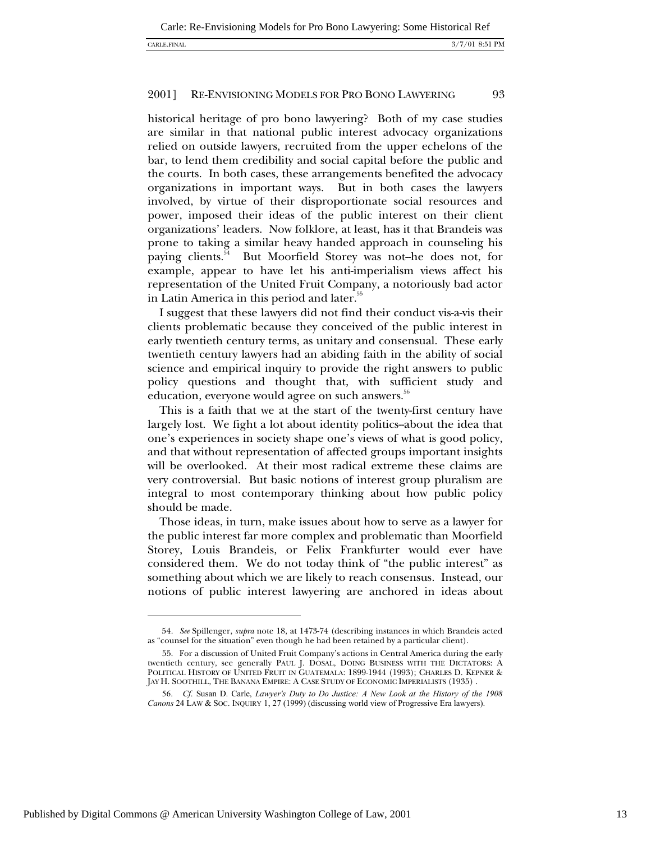## CARLE.FINAL 3/7/01 8:51 PM

### 2001] RE-ENVISIONING MODELS FOR PRO BONO LAWYERING 93

historical heritage of pro bono lawyering? Both of my case studies are similar in that national public interest advocacy organizations relied on outside lawyers, recruited from the upper echelons of the bar, to lend them credibility and social capital before the public and the courts. In both cases, these arrangements benefited the advocacy organizations in important ways. But in both cases the lawyers involved, by virtue of their disproportionate social resources and power, imposed their ideas of the public interest on their client organizations' leaders. Now folklore, at least, has it that Brandeis was prone to taking a similar heavy handed approach in counseling his paying clients.<sup>54</sup> But Moorfield Storey was not-he does not, for example, appear to have let his anti-imperialism views affect his representation of the United Fruit Company, a notoriously bad actor in Latin America in this period and later.<sup>55</sup>

I suggest that these lawyers did not find their conduct vis-a-vis their clients problematic because they conceived of the public interest in early twentieth century terms, as unitary and consensual. These early twentieth century lawyers had an abiding faith in the ability of social science and empirical inquiry to provide the right answers to public policy questions and thought that, with sufficient study and education, everyone would agree on such answers.<sup>56</sup>

This is a faith that we at the start of the twenty-first century have largely lost. We fight a lot about identity politics-about the idea that one's experiences in society shape one's views of what is good policy, and that without representation of affected groups important insights will be overlooked. At their most radical extreme these claims are very controversial. But basic notions of interest group pluralism are integral to most contemporary thinking about how public policy should be made.

Those ideas, in turn, make issues about how to serve as a lawyer for the public interest far more complex and problematic than Moorfield Storey, Louis Brandeis, or Felix Frankfurter would ever have considered them. We do not today think of "the public interest" as something about which we are likely to reach consensus. Instead, our notions of public interest lawyering are anchored in ideas about

<sup>54</sup>*. See* Spillenger, *supra* note 18, at 1473-74 (describing instances in which Brandeis acted as "counsel for the situation" even though he had been retained by a particular client).

<sup>55.</sup> For a discussion of United Fruit Company's actions in Central America during the early twentieth century, see generally PAUL J. DOSAL, DOING BUSINESS WITH THE DICTATORS: A POLITICAL HISTORY OF UNITED FRUIT IN GUATEMALA: 1899-1944 (1993); CHARLES D. KEPNER & JAY H. SOOTHILL, THE BANANA EMPIRE: A CASE STUDY OF ECONOMIC IMPERIALISTS (1935) .

<sup>56.</sup> *Cf*. Susan D. Carle, *Lawyer's Duty to Do Justice: A New Look at the History of the 1908 Canons* 24 LAW & SOC. INQUIRY 1, 27 (1999) (discussing world view of Progressive Era lawyers).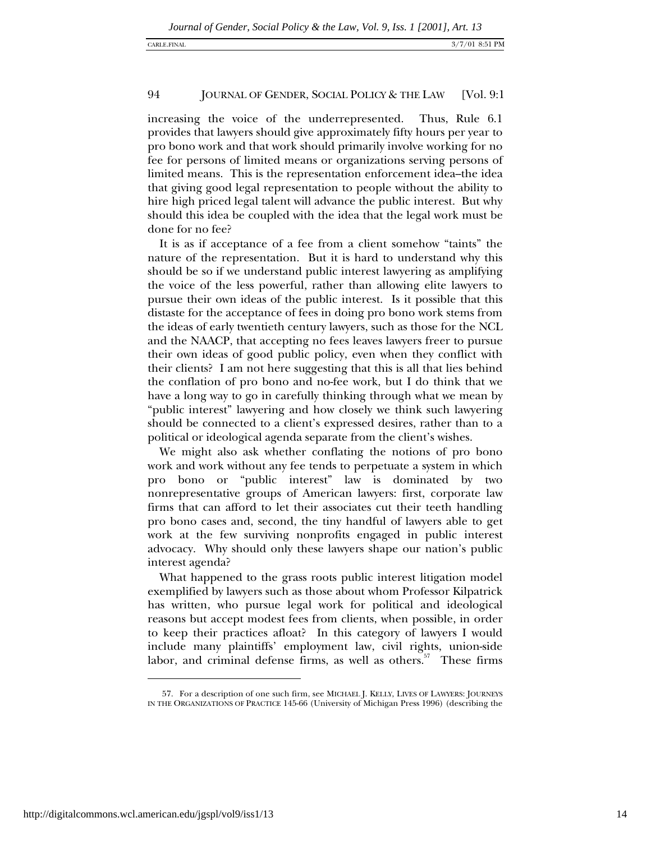increasing the voice of the underrepresented. Thus, Rule 6.1 provides that lawyers should give approximately fifty hours per year to pro bono work and that work should primarily involve working for no fee for persons of limited means or organizations serving persons of limited means. This is the representation enforcement idea--the idea that giving good legal representation to people without the ability to hire high priced legal talent will advance the public interest. But why should this idea be coupled with the idea that the legal work must be done for no fee?

It is as if acceptance of a fee from a client somehow "taints" the nature of the representation. But it is hard to understand why this should be so if we understand public interest lawyering as amplifying the voice of the less powerful, rather than allowing elite lawyers to pursue their own ideas of the public interest. Is it possible that this distaste for the acceptance of fees in doing pro bono work stems from the ideas of early twentieth century lawyers, such as those for the NCL and the NAACP, that accepting no fees leaves lawyers freer to pursue their own ideas of good public policy, even when they conflict with their clients? I am not here suggesting that this is all that lies behind the conflation of pro bono and no-fee work, but I do think that we have a long way to go in carefully thinking through what we mean by "public interest" lawyering and how closely we think such lawyering should be connected to a client's expressed desires, rather than to a political or ideological agenda separate from the client's wishes.

We might also ask whether conflating the notions of pro bono work and work without any fee tends to perpetuate a system in which pro bono or "public interest" law is dominated by two nonrepresentative groups of American lawyers: first, corporate law firms that can afford to let their associates cut their teeth handling pro bono cases and, second, the tiny handful of lawyers able to get work at the few surviving nonprofits engaged in public interest advocacy. Why should only these lawyers shape our nation's public interest agenda?

What happened to the grass roots public interest litigation model exemplified by lawyers such as those about whom Professor Kilpatrick has written, who pursue legal work for political and ideological reasons but accept modest fees from clients, when possible, in order to keep their practices afloat? In this category of lawyers I would include many plaintiffs' employment law, civil rights, union-side labor, and criminal defense firms, as well as others.<sup>57</sup> These firms

-

<sup>57.</sup> For a description of one such firm, see MICHAEL J. KELLY, LIVES OF LAWYERS: JOURNEYS IN THE ORGANIZATIONS OF PRACTICE 145-66 (University of Michigan Press 1996) (describing the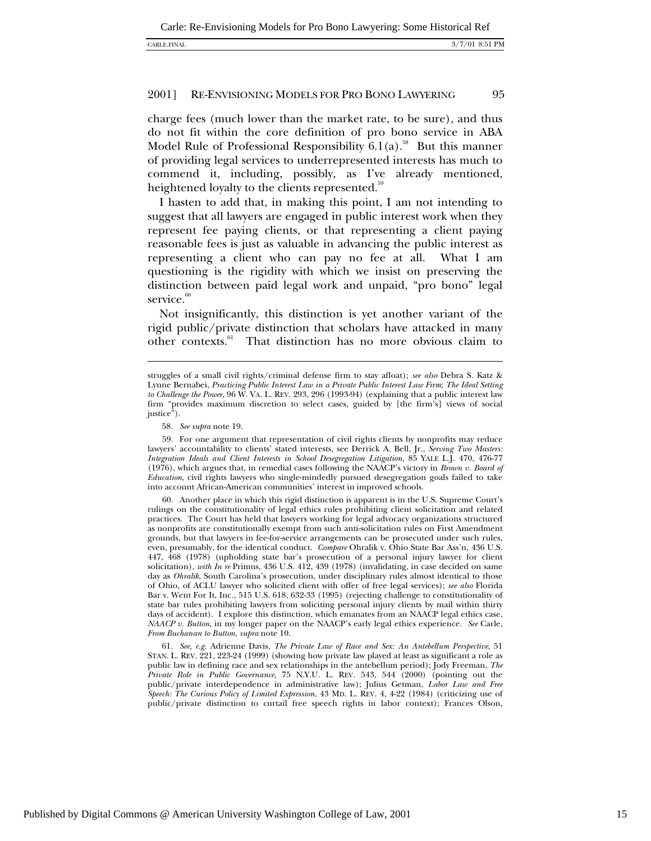charge fees (much lower than the market rate, to be sure), and thus do not fit within the core definition of pro bono service in ABA Model Rule of Professional Responsibility  $6.1(a)$ <sup>58</sup> But this manner of providing legal services to underrepresented interests has much to commend it, including, possibly, as I've already mentioned, heightened loyalty to the clients represented.<sup>59</sup>

I hasten to add that, in making this point, I am not intending to suggest that all lawyers are engaged in public interest work when they represent fee paying clients, or that representing a client paying reasonable fees is just as valuable in advancing the public interest as representing a client who can pay no fee at all. What I am questioning is the rigidity with which we insist on preserving the distinction between paid legal work and unpaid, "pro bono" legal service.<sup>60</sup>

Not insignificantly, this distinction is yet another variant of the rigid public/private distinction that scholars have attacked in many other contexts.<sup>61</sup> That distinction has no more obvious claim to

l

60. Another place in which this rigid distinction is apparent is in the U.S. Supreme Court's rulings on the constitutionality of legal ethics rules prohibiting client solicitation and related practices. The Court has held that lawyers working for legal advocacy organizations structured as nonprofits are constitutionally exempt from such anti-solicitation rules on First Amendment grounds, but that lawyers in fee-for-service arrangements can be prosecuted under such rules, even, presumably, for the identical conduct. *Compare* Ohralik v. Ohio State Bar Ass'n*,* 436 U.S. 447, 468 (1978) (upholding state bar's prosecution of a personal injury lawyer for client solicitation), *with In re* Primus, 436 U.S. 412, 439 (1978) (invalidating, in case decided on same day as *Ohralik*, South Carolina's prosecution, under disciplinary rules almost identical to those of Ohio, of ACLU lawyer who solicited client with offer of free legal services); *see also* Florida Bar v. Went For It, Inc*.*, 515 U.S. 618, 632-33 (1995) (rejecting challenge to constitutionality of state bar rules prohibiting lawyers from soliciting personal injury clients by mail within thirty days of accident). I explore this distinction, which emanates from an NAACP legal ethics case, *NAACP v. Button*, in my longer paper on the NAACP's early legal ethics experience. *See* Carle, *From Buchanan to Button*, *supra* note 10.

61*. See, e.g.* Adrienne Davis, *The Private Law of Race and Sex: An Antebellum Perspective*, 51 STAN. L. REV. 221, 223-24 (1999) (showing how private law played at least as significant a role as public law in defining race and sex relationships in the antebellum period); Jody Freeman, *The Private Role in Public Governance*, 75 N.Y.U. L. REV*.* 543, 544 (2000) (pointing out the public/private interdependence in administrative law); Julius Getman, *Labor Law and Free Speech: The Curious Policy of Limited Expression*, 43 MD. L. REV. 4, 4-22 (1984) (criticizing use of public/private distinction to curtail free speech rights in labor context); Frances Olson,

struggles of a small civil rights/criminal defense firm to stay afloat); *see also* Debra S. Katz & Lynne Bernabei, *Practicing Public Interest Law in a Private Public Interest Law Firm*; *The Ideal Setting to Challenge the Power*, 96 W. VA. L. REV. 293, 296 (1993-94) (explaining that a public interest law firm "provides maximum discretion to select cases, guided by [the firm's] views of social justice").

<sup>58</sup>*. See supra* note 19.

<sup>59.</sup> For one argument that representation of civil rights clients by nonprofits may reduce lawyers' accountability to clients' stated interests, see Derrick A. Bell, Jr., *Serving Two Masters: Integration Ideals and Client Interests in School Desegregation Litigation*, 85 YALE L.J. 470, 476-77 (1976), which argues that, in remedial cases following the NAACP's victory in *Brown v. Board of Education*, civil rights lawyers who single-mindedly pursued desegregation goals failed to take into account African-American communities' interest in improved schools.